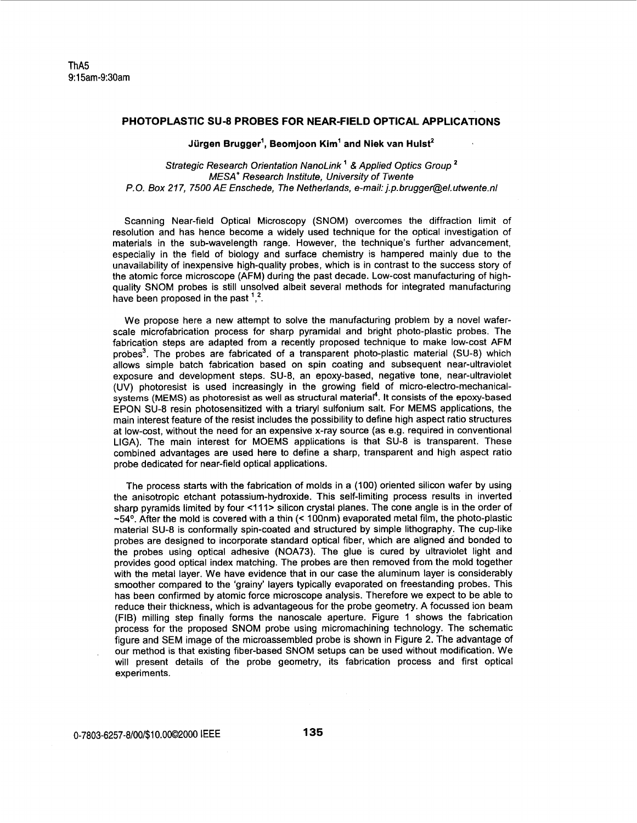## **PHOTOPLASTIC SU-8 PROBES FOR NEAR-FIELD OPTICAL APPLICATIONS**

## **Jurgen Brugger', Beomjoon Kim' and Niek van Hulst'**

## Strategic Research Orientation NanoLink<sup>1</sup> & Applied Optics Group<sup>2</sup> MESA' Research Institute, University *of* Twente *P.* 0. *Box 21* 7, 7500 AE Enschede, The Netherlands, e-mail: j.p. brugger@el. utwente.nl

Scanning Near-field Optical Microscopy (SNOM) overcomes the diffraction limit of resolution and has hence become a widely used technique for the optical investigation of materials in the sub-wavelength range. However, the technique's further advancement, especially in the field of biology and surface chemistry is hampered mainly due to the unavailability of inexpensive high-quality probes, which is in contrast to the success story of the atomic force microscope (AFM) during the past decade. Low-cost manufacturing of highquality SNOM probes is still unsolved albeit several methods for integrated manufacturing have been proposed in the past <sup>1</sup>.<sup>2</sup>.

We propose here a new attempt to solve the manufacturing problem by a novel waferscale microfabrication process for sharp pyramidal and bright photo-plastic probes. The fabrication steps are adapted from a recently proposed technique to make low-cost AFM probes<sup>3</sup>. The probes are fabricated of a transparent photo-plastic material (SU-8) which allows simple batch fabrication based on spin coating and subsequent near-ultraviolet exposure and development steps. SU-8, an epoxy-based, negative tone, near-ultraviolet (UV) photoresist is used increasingly in the growing field of micro-electro-mechanicalsystems (MEMS) as photoresist as well as structural material<sup>4</sup>. It consists of the epoxy-based EPON SU-8 resin photosensitized with a triaryl sulfonium salt. For MEMS applications, the main interest feature of the resist includes the possibility to define high aspect ratio structures at low-cost, without the need for an expensive x-ray source (as e.g. required in conventional LIGA). The main interest for MOEMS applications is that SU-8 is transparent. These combined advantages are used here to define a sharp, transparent and high aspect ratio probe dedicated for near-field optical applications.

The process starts with the fabrication of molds in a (100) oriented silicon wafer by using the anisotropic etchant potassium-hydroxide. This self-limiting process results in inverted sharp pyramids limited by four <111> silicon crystal planes. The cone angle is in the order of **-54O.** After the mold is covered with a thin (< 100nm) evaporated metal film, the photo-plastic material SU-8 is conformally spin-coated and structured by simple lithography. The cup-like probes are designed to incorporate standard optical fiber, which are aligned and bonded to the probes using optical adhesive (NOA73). The glue is cured by ultraviolet light and provides good optical index matching. The probes are then removed from the mold together with the metal layer. We have evidence that in our case the aluminum layer is considerably smoother compared to the 'grainy' layers typically evaporated on freestanding probes. This has been confirmed by atomic force microscope analysis. Therefore we expect to be able to reduce their thickness, which is advantageous for the probe geometry. A focussed ion beam (FIB) milling step finally forms the nanoscale aperture. [Figure 1](#page-1-0) shows the fabrication process for the proposed SNOM probe using micromachining technology. The schematic figure and SEM image of the microassembled probe is shown in [Figure 2.](#page-1-0) The advantage of our method is that existing fiber-based SNOM setups can be used without modification. We will present details of the probe geometry, its fabrication process and first optical experiments.